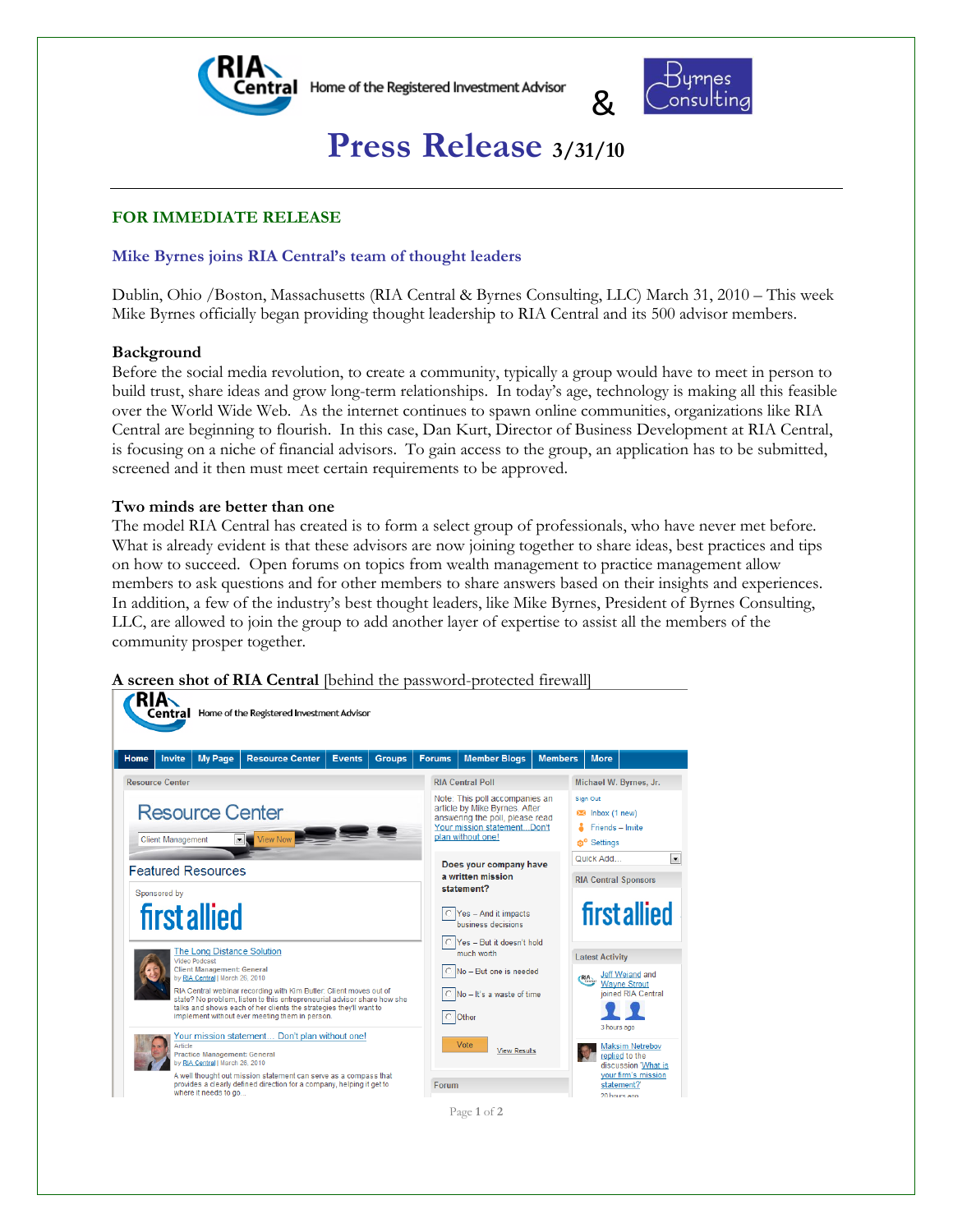



# **Press Release 3/31/10**

# **FOR IMMEDIATE RELEASE**

# **Mike Byrnes joins RIA Central's team of thought leaders**

Dublin, Ohio /Boston, Massachusetts (RIA Central & Byrnes Consulting, LLC) March 31, 2010 – This week Mike Byrnes officially began providing thought leadership to RIA Central and its 500 advisor members.

## **Background**

Before the social media revolution, to create a community, typically a group would have to meet in person to build trust, share ideas and grow long-term relationships. In today's age, technology is making all this feasible over the World Wide Web. As the internet continues to spawn online communities, organizations like RIA Central are beginning to flourish. In this case, Dan Kurt, Director of Business Development at RIA Central, is focusing on a niche of financial advisors. To gain access to the group, an application has to be submitted, screened and it then must meet certain requirements to be approved.

## **Two minds are better than one**

The model RIA Central has created is to form a select group of professionals, who have never met before. What is already evident is that these advisors are now joining together to share ideas, best practices and tips on how to succeed. Open forums on topics from wealth management to practice management allow members to ask questions and for other members to share answers based on their insights and experiences. In addition, a few of the industry's best thought leaders, like Mike Byrnes, President of Byrnes Consulting, LLC, are allowed to join the group to add another layer of expertise to assist all the members of the community prosper together.

**A screen shot of RIA Central** [behind the password-protected firewall]